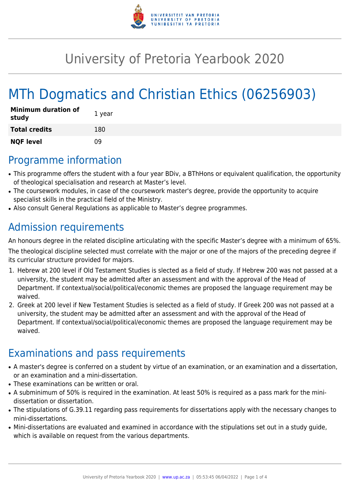

# University of Pretoria Yearbook 2020

# MTh Dogmatics and Christian Ethics (06256903)

| <b>Minimum duration of</b><br>study | 1 year |
|-------------------------------------|--------|
| <b>Total credits</b>                | 180    |
| <b>NQF level</b>                    | n۹     |

### Programme information

- This programme offers the student with a four year BDiv, a BThHons or equivalent qualification, the opportunity of theological specialisation and research at Master's level.
- The coursework modules, in case of the coursework master's degree, provide the opportunity to acquire specialist skills in the practical field of the Ministry.
- Also consult General Regulations as applicable to Master's degree programmes.

## Admission requirements

An honours degree in the related discipline articulating with the specific Master's degree with a minimum of 65%.

The theological discipline selected must correlate with the major or one of the majors of the preceding degree if its curricular structure provided for majors.

- 1. Hebrew at 200 level if Old Testament Studies is slected as a field of study. If Hebrew 200 was not passed at a university, the student may be admitted after an assessment and with the approval of the Head of Department. If contextual/social/political/economic themes are proposed the language requirement may be waived.
- 2. Greek at 200 level if New Testament Studies is selected as a field of study. If Greek 200 was not passed at a university, the student may be admitted after an assessment and with the approval of the Head of Department. If contextual/social/political/economic themes are proposed the language requirement may be waived.

## Examinations and pass requirements

- A master's degree is conferred on a student by virtue of an examination, or an examination and a dissertation, or an examination and a mini-dissertation.
- These examinations can be written or oral.
- A subminimum of 50% is required in the examination. At least 50% is required as a pass mark for the minidissertation or dissertation.
- The stipulations of G.39.11 regarding pass requirements for dissertations apply with the necessary changes to mini-dissertations.
- Mini-dissertations are evaluated and examined in accordance with the stipulations set out in a study guide, which is available on request from the various departments.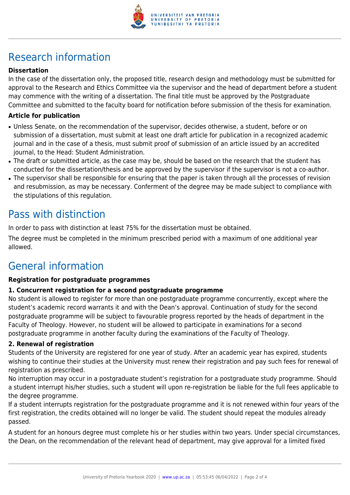

# Research information

### **Dissertation**

In the case of the dissertation only, the proposed title, research design and methodology must be submitted for approval to the Research and Ethics Committee via the supervisor and the head of department before a student may commence with the writing of a dissertation. The final title must be approved by the Postgraduate Committee and submitted to the faculty board for notification before submission of the thesis for examination.

#### **Article for publication**

- Unless Senate, on the recommendation of the supervisor, decides otherwise, a student, before or on submission of a dissertation, must submit at least one draft article for publication in a recognized academic journal and in the case of a thesis, must submit proof of submission of an article issued by an accredited journal, to the Head: Student Administration.
- The draft or submitted article, as the case may be, should be based on the research that the student has conducted for the dissertation/thesis and be approved by the supervisor if the supervisor is not a co-author.
- The supervisor shall be responsible for ensuring that the paper is taken through all the processes of revision and resubmission, as may be necessary. Conferment of the degree may be made subject to compliance with the stipulations of this regulation.

### Pass with distinction

In order to pass with distinction at least 75% for the dissertation must be obtained.

The degree must be completed in the minimum prescribed period with a maximum of one additional year allowed.

### General information

#### **Registration for postgraduate programmes**

#### **1. Concurrent registration for a second postgraduate programme**

No student is allowed to register for more than one postgraduate programme concurrently, except where the student's academic record warrants it and with the Dean's approval. Continuation of study for the second postgraduate programme will be subject to favourable progress reported by the heads of department in the Faculty of Theology. However, no student will be allowed to participate in examinations for a second postgraduate programme in another faculty during the examinations of the Faculty of Theology.

#### **2. Renewal of registration**

Students of the University are registered for one year of study. After an academic year has expired, students wishing to continue their studies at the University must renew their registration and pay such fees for renewal of registration as prescribed.

No interruption may occur in a postgraduate student's registration for a postgraduate study programme. Should a student interrupt his/her studies, such a student will upon re-registration be liable for the full fees applicable to the degree programme.

If a student interrupts registration for the postgraduate programme and it is not renewed within four years of the first registration, the credits obtained will no longer be valid. The student should repeat the modules already passed.

A student for an honours degree must complete his or her studies within two years. Under special circumstances, the Dean, on the recommendation of the relevant head of department, may give approval for a limited fixed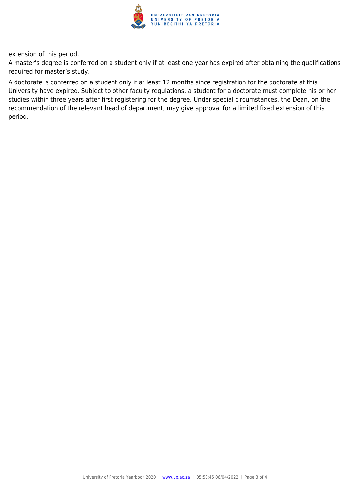

extension of this period.

A master's degree is conferred on a student only if at least one year has expired after obtaining the qualifications required for master's study.

A doctorate is conferred on a student only if at least 12 months since registration for the doctorate at this University have expired. Subject to other faculty regulations, a student for a doctorate must complete his or her studies within three years after first registering for the degree. Under special circumstances, the Dean, on the recommendation of the relevant head of department, may give approval for a limited fixed extension of this period.